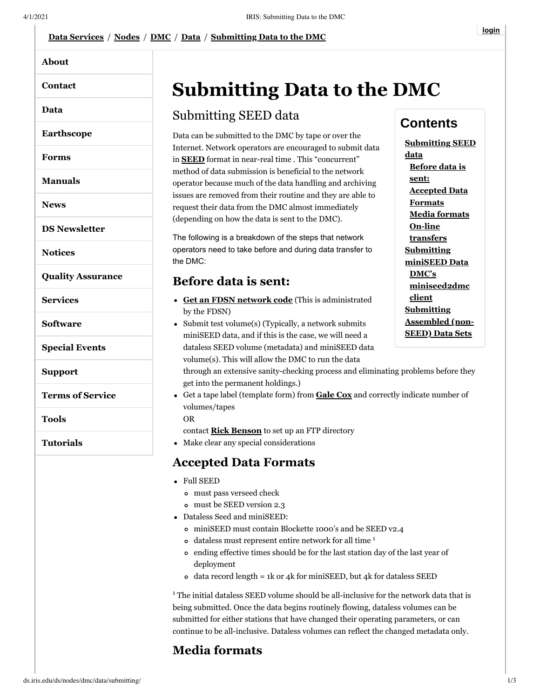#### **[DMC](http://ds.iris.edu/ds/nodes/dmc/)** / **[Data](http://ds.iris.edu/ds/nodes/dmc/data/)** / **[Submitting Data to the DMC](http://ds.iris.edu/ds/nodes/dmc/data/submitting/)**

|                          | Data Services / Nodes / DMC / Data / Submitting Data to the DMC                                                                                                                                                                                                                                                                                                                                                                                                                                       |
|--------------------------|-------------------------------------------------------------------------------------------------------------------------------------------------------------------------------------------------------------------------------------------------------------------------------------------------------------------------------------------------------------------------------------------------------------------------------------------------------------------------------------------------------|
| <b>About</b>             |                                                                                                                                                                                                                                                                                                                                                                                                                                                                                                       |
| Contact                  | <b>Submitting Data to</b>                                                                                                                                                                                                                                                                                                                                                                                                                                                                             |
| Data                     | Submitting SEED data                                                                                                                                                                                                                                                                                                                                                                                                                                                                                  |
| <b>Earthscope</b>        | Data can be submitted to the DMC by tape or over                                                                                                                                                                                                                                                                                                                                                                                                                                                      |
| <b>Forms</b>             | Internet. Network operators are encouraged to su<br>in <b>SEED</b> format in near-real time. This "concurr<br>method of data submission is beneficial to the net<br>operator because much of the data handling and a<br>issues are removed from their routine and they are<br>request their data from the DMC almost immedia<br>(depending on how the data is sent to the DMC).<br>The following is a breakdown of the steps that ne<br>operators need to take before and during data tra<br>the DMC: |
| <b>Manuals</b>           |                                                                                                                                                                                                                                                                                                                                                                                                                                                                                                       |
| <b>News</b>              |                                                                                                                                                                                                                                                                                                                                                                                                                                                                                                       |
| <b>DS Newsletter</b>     |                                                                                                                                                                                                                                                                                                                                                                                                                                                                                                       |
| <b>Notices</b>           |                                                                                                                                                                                                                                                                                                                                                                                                                                                                                                       |
| <b>Quality Assurance</b> | <b>Before data is sent:</b>                                                                                                                                                                                                                                                                                                                                                                                                                                                                           |
| <b>Services</b>          | • Get an FDSN network code (This is admin<br>by the FDSN)<br>• Submit test volume(s) (Typically, a network su<br>miniSEED data, and if this is the case, we will<br>dataless SEED volume (metadata) and miniSE<br>volume(s). This will allow the DMC to run the<br>through an extensive sanity-checking process a<br>get into the permanent holdings.)<br>• Get a tape label (template form) from Gale Co<br>volumes/tapes<br><b>OR</b>                                                               |
| <b>Software</b>          |                                                                                                                                                                                                                                                                                                                                                                                                                                                                                                       |
| <b>Special Events</b>    |                                                                                                                                                                                                                                                                                                                                                                                                                                                                                                       |
| <b>Support</b>           |                                                                                                                                                                                                                                                                                                                                                                                                                                                                                                       |
| <b>Terms of Service</b>  |                                                                                                                                                                                                                                                                                                                                                                                                                                                                                                       |
| <b>Tools</b>             |                                                                                                                                                                                                                                                                                                                                                                                                                                                                                                       |
| <b>Tutorials</b>         | contact <b>Rick Benson</b> to set up an FTP director<br>Make clear any special considerations                                                                                                                                                                                                                                                                                                                                                                                                         |
|                          | <b>Accepted Data Formats</b>                                                                                                                                                                                                                                                                                                                                                                                                                                                                          |
|                          | <b>Full SEED</b>                                                                                                                                                                                                                                                                                                                                                                                                                                                                                      |
|                          | o must pass verseed check<br>o must be SEED version 2.3                                                                                                                                                                                                                                                                                                                                                                                                                                               |
|                          | Dataless Seed and miniSEED:                                                                                                                                                                                                                                                                                                                                                                                                                                                                           |
|                          | o miniSEED must contain Blockette 1000's a                                                                                                                                                                                                                                                                                                                                                                                                                                                            |
|                          | o dataless must represent entire network for                                                                                                                                                                                                                                                                                                                                                                                                                                                          |
|                          | • ending effective times should be for the last                                                                                                                                                                                                                                                                                                                                                                                                                                                       |

# **Submitting Data to the DMC**

#### <span id="page-0-0"></span>Submitting SEED data

Data can be submitted to the DMC by tape or over the Internet. Network operators are encouraged to submit data in **[SEED](http://ds.iris.edu/ds/nodes/dmc/data/formats/seed/)** format in near-real time . This "concurrent" method of data submission is beneficial to the network operator because much of the data handling and archiving issues are removed from their routine and they are able to request their data from the DMC almost immediately (depending on how the data is sent to the DMC).

The following is a breakdown of the steps that network operators need to take before and during data transfer to the DMC:

#### <span id="page-0-1"></span>**Before data is sent:**

- **[Get an FDSN network code](http://www.fdsn.org/networks/request/)** (This is administrated by the FDSN)
- Submit test volume(s) (Typically, a network submits miniSEED data, and if this is the case, we will need a dataless SEED volume (metadata) and miniSEED data volume(s). This will allow the DMC to run the data

**[Submitting SEED](#page-0-0) data [Before data is](#page-0-1) sent: [Accepted Data](#page-0-2)**

**Contents**

**Formats [Media formats](#page-0-3) On-line [transfers](#page-1-0) Submitting [miniSEED Data](#page-1-1) DMC's [miniseed2dmc](#page-1-2) client Submitting [Assembled \(non-](#page-1-3)SEED) Data Sets**

through an extensive sanity-checking process and eliminating problems before they get into the permanent holdings.)

Get a tape label (template form) from **[Gale Cox](mailto:gale@iris.washington.edu)** and correctly indicate number of volumes/tapes

contact **[Rick Benson](mailto:rick@iris.washington.edu)** to set up an FTP directory

#### <span id="page-0-2"></span>**Accepted Data Formats**

- Full SEED
	- must pass verseed check
	- must be SEED version 2.3
- Dataless Seed and miniSEED:
	- miniSEED must contain Blockette 1000's and be SEED v2.4
	- dataless must represent entire network for all time<sup>1</sup>
	- ending effective times should be for the last station day of the last year of deployment
	- $\circ$  data record length = 1k or 4k for miniSEED, but 4k for dataless SEED

 $1$ <sup>1</sup> The initial dataless SEED volume should be all-inclusive for the network data that is being submitted. Once the data begins routinely flowing, dataless volumes can be submitted for either stations that have changed their operating parameters, or can continue to be all-inclusive. Dataless volumes can reflect the changed metadata only.

### <span id="page-0-3"></span>**Media formats**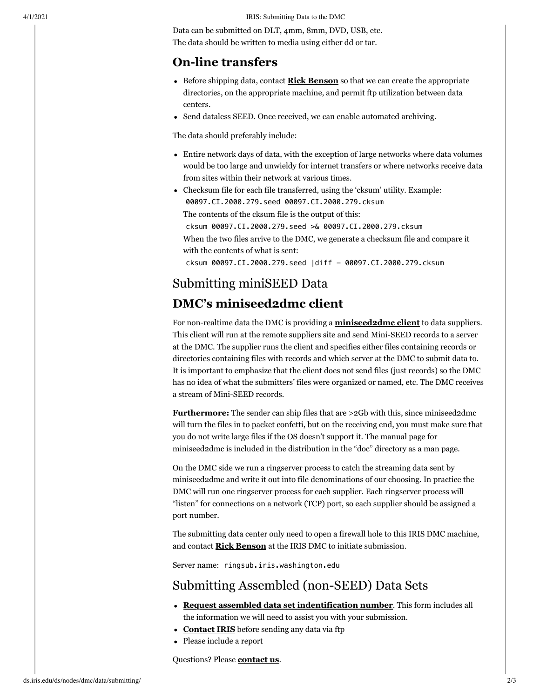4/1/2021 IRIS: Submitting Data to the DMC

Data can be submitted on DLT, 4mm, 8mm, DVD, USB, etc. The data should be written to media using either dd or tar.

#### <span id="page-1-0"></span>**On-line transfers**

- Before shipping data, contact **[Rick Benson](mailto:rick@iris.washington.edu)** so that we can create the appropriate directories, on the appropriate machine, and permit ftp utilization between data centers.
- Send dataless SEED. Once received, we can enable automated archiving.

The data should preferably include:

- Entire network days of data, with the exception of large networks where data volumes would be too large and unwieldy for internet transfers or where networks receive data from sites within their network at various times.
- Checksum file for each file transferred, using the 'cksum' utility. Example: 00097.CI.2000.279.seed 00097.CI.2000.279.cksum The contents of the cksum file is the output of this: cksum 00097.CI.2000.279.seed >& 00097.CI.2000.279.cksum

When the two files arrive to the DMC, we generate a checksum file and compare it with the contents of what is sent:

cksum 00097.CI.2000.279.seed |diff - 00097.CI.2000.279.cksum

## <span id="page-1-1"></span>Submitting miniSEED Data

#### <span id="page-1-2"></span>**DMC's miniseed2dmc client**

For non-realtime data the DMC is providing a **[miniseed2dmc client](https://github.com/iris-edu/miniseed2dmc)** to data suppliers. This client will run at the remote suppliers site and send Mini-SEED records to a server at the DMC. The supplier runs the client and specifies either files containing records or directories containing files with records and which server at the DMC to submit data to. It is important to emphasize that the client does not send files (just records) so the DMC has no idea of what the submitters' files were organized or named, etc. The DMC receives a stream of Mini-SEED records.

**Furthermore:** The sender can ship files that are >2Gb with this, since miniseed2dmc will turn the files in to packet confetti, but on the receiving end, you must make sure that you do not write large files if the OS doesn't support it. The manual page for miniseed2dmc is included in the distribution in the "doc" directory as a man page.

On the DMC side we run a ringserver process to catch the streaming data sent by miniseed2dmc and write it out into file denominations of our choosing. In practice the DMC will run one ringserver process for each supplier. Each ringserver process will "listen" for connections on a network (TCP) port, so each supplier should be assigned a port number.

The submitting data center only need to open a firewall hole to this IRIS DMC machine, and contact **[Rick Benson](mailto:rick@iris.washington.edu)** at the IRIS DMC to initiate submission.

Server name: ringsub.iris.washington.edu

### <span id="page-1-3"></span>Submitting Assembled (non-SEED) Data Sets

- **[Request assembled data set indentification number](http://ds.iris.edu/ds/nodes/dmc/forms/assembled-id/)**. This form includes all the information we will need to assist you with your submission.
- **[Contact IRIS](mailto:assembled_data@iris.washington.edu)** before sending any data via ftp
- Please include a report

Questions? Please **[contact us](mailto:comments@iris.washington.edu)**.